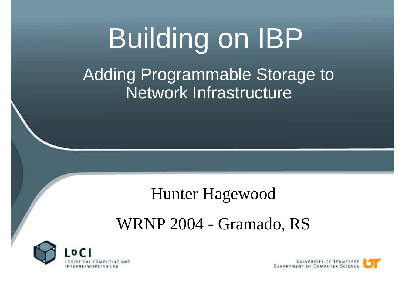#### Building on IBP Adding Programmable Storage to Network Infrastructure

#### Hunter Hagewood

#### WRNP 2004 - Gramado, RS



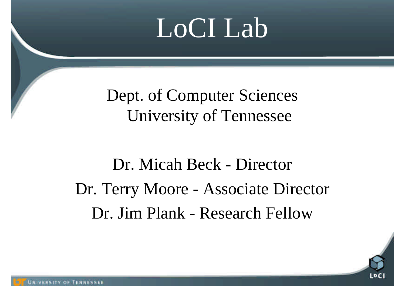### LoCI Lab

Dept. of Computer Sciences University of Tennessee

Dr. Micah Beck - Director Dr. Terry Moore - Associate Director Dr. Jim Plank - Research Fellow

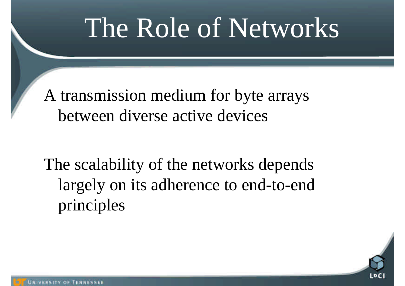### The Role of Networks

A transmission medium for byte arrays between diverse active devices

The scalability of the networks depends largely on its adherence to end-to-end principles

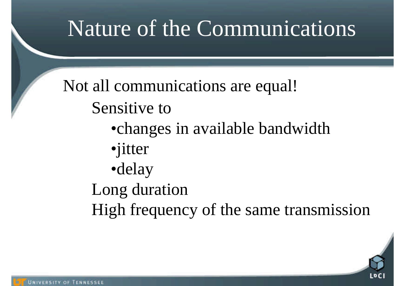#### Nature of the Communications

Not all communications are equal! Sensitive to

- •changes in available bandwidth
- •jitter
- •delay
- Long duration
- High frequency of the same transmission

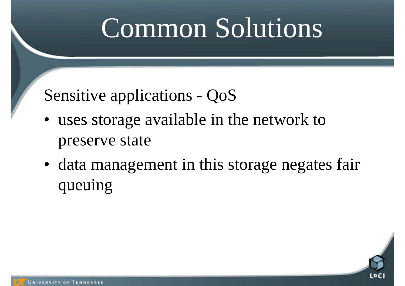## Common Solutions

#### Sensitive applications - QoS

- uses storage available in the network to preserve state
- data management in this storage negates fair queuing

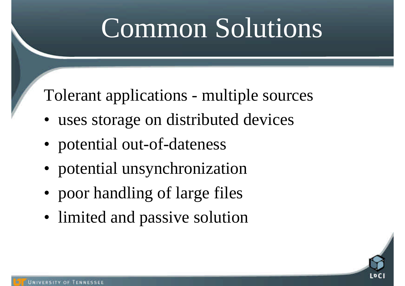## Common Solutions

Tolerant applications - multiple sources

- uses storage on distributed devices
- potential out-of-dateness
- potential unsynchronization
- poor handling of large files
- limited and passive solution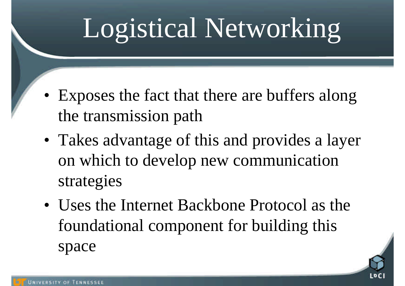## Logistical Networking

- Exposes the fact that there are buffers along the transmission path
- Takes advantage of this and provides a layer on which to develop new communication strategies
- Uses the Internet Backbone Protocol as the foundational component for building this space

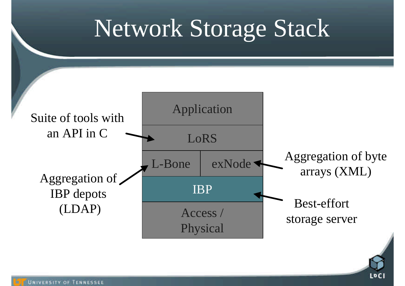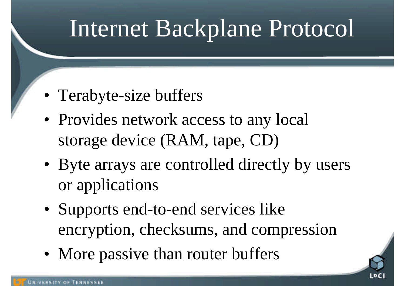#### Internet Backplane Protocol

- Terabyte-size buffers
- Provides network access to any local storage device (RAM, tape, CD)
- Byte arrays are controlled directly by users or applications
- Supports end-to-end services like encryption, checksums, and compression
- More passive than router buffers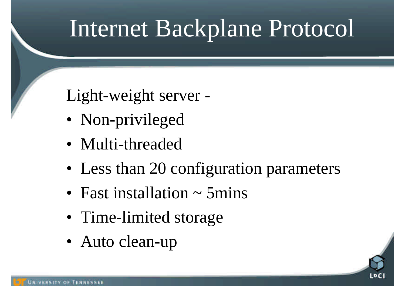#### Internet Backplane Protocol

Light-weight server -

- Non-privileged
- Multi-threaded
- Less than 20 configuration parameters
- Fast installation  $\sim$  5 mins
- Time-limited storage
- Auto clean-up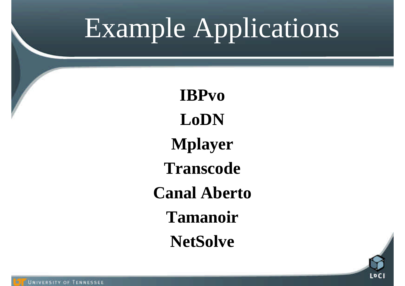## Example Applications

**IBPvo LoDN Mplayer Transcode Canal Aberto Tamanoir NetSolve**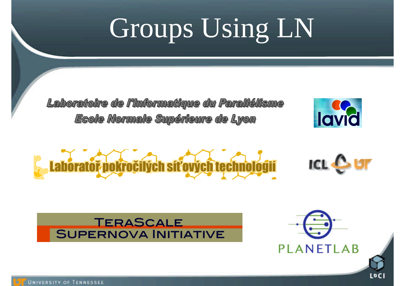# Groups Using LN

Laboratoire de l'Informatique du Parallélisme Ecole Normale Supérieure de Lyon





#### TERASCALE **SUPERNOVA INITIATIVE**



**LDCI**